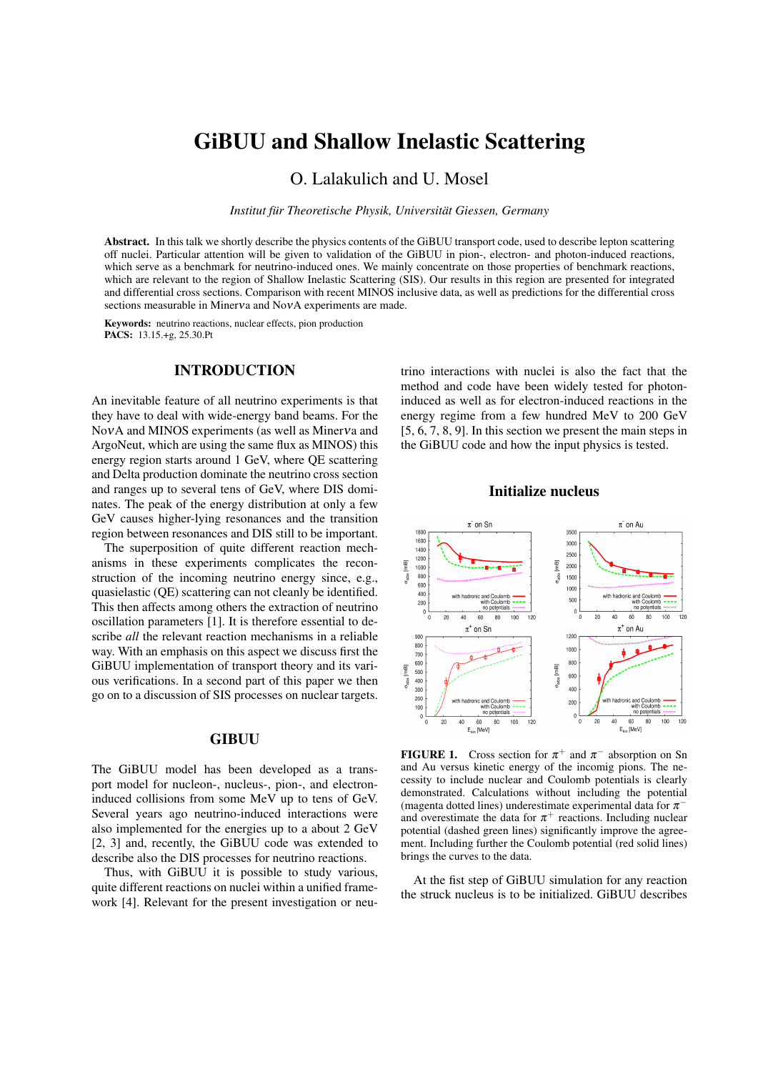# GiBUU and Shallow Inelastic Scattering

O. Lalakulich and U. Mosel

*Institut für Theoretische Physik, Universität Giessen, Germany*

Abstract. In this talk we shortly describe the physics contents of the GiBUU transport code, used to describe lepton scattering off nuclei. Particular attention will be given to validation of the GiBUU in pion-, electron- and photon-induced reactions, which serve as a benchmark for neutrino-induced ones. We mainly concentrate on those properties of benchmark reactions, which are relevant to the region of Shallow Inelastic Scattering (SIS). Our results in this region are presented for integrated and differential cross sections. Comparison with recent MINOS inclusive data, as well as predictions for the differential cross sections measurable in Minerva and NovA experiments are made.

Keywords: neutrino reactions, nuclear effects, pion production PACS: 13.15.+g, 25.30.Pt

## INTRODUCTION

An inevitable feature of all neutrino experiments is that they have to deal with wide-energy band beams. For the NoνA and MINOS experiments (as well as Minerνa and ArgoNeut, which are using the same flux as MINOS) this energy region starts around 1 GeV, where QE scattering and Delta production dominate the neutrino cross section and ranges up to several tens of GeV, where DIS dominates. The peak of the energy distribution at only a few GeV causes higher-lying resonances and the transition region between resonances and DIS still to be important.

The superposition of quite different reaction mechanisms in these experiments complicates the reconstruction of the incoming neutrino energy since, e.g., quasielastic (QE) scattering can not cleanly be identified. This then affects among others the extraction of neutrino oscillation parameters [1]. It is therefore essential to describe *all* the relevant reaction mechanisms in a reliable way. With an emphasis on this aspect we discuss first the GiBUU implementation of transport theory and its various verifications. In a second part of this paper we then go on to a discussion of SIS processes on nuclear targets.

#### **GIBUU**

The GiBUU model has been developed as a transport model for nucleon-, nucleus-, pion-, and electroninduced collisions from some MeV up to tens of GeV. Several years ago neutrino-induced interactions were also implemented for the energies up to a about 2 GeV [2, 3] and, recently, the GiBUU code was extended to describe also the DIS processes for neutrino reactions.

Thus, with GiBUU it is possible to study various, quite different reactions on nuclei within a unified framework [4]. Relevant for the present investigation or neu-

trino interactions with nuclei is also the fact that the method and code have been widely tested for photoninduced as well as for electron-induced reactions in the energy regime from a few hundred MeV to 200 GeV [5, 6, 7, 8, 9]. In this section we present the main steps in the GiBUU code and how the input physics is tested.

## Initialize nucleus



**FIGURE 1.** Cross section for  $\pi^{+}$  and  $\pi^{-}$  absorption on Sn and Au versus kinetic energy of the incomig pions. The necessity to include nuclear and Coulomb potentials is clearly demonstrated. Calculations without including the potential (magenta dotted lines) underestimate experimental data for  $\pi^$ and overestimate the data for  $\pi^+$  reactions. Including nuclear potential (dashed green lines) significantly improve the agreement. Including further the Coulomb potential (red solid lines) brings the curves to the data.

At the fist step of GiBUU simulation for any reaction the struck nucleus is to be initialized. GiBUU describes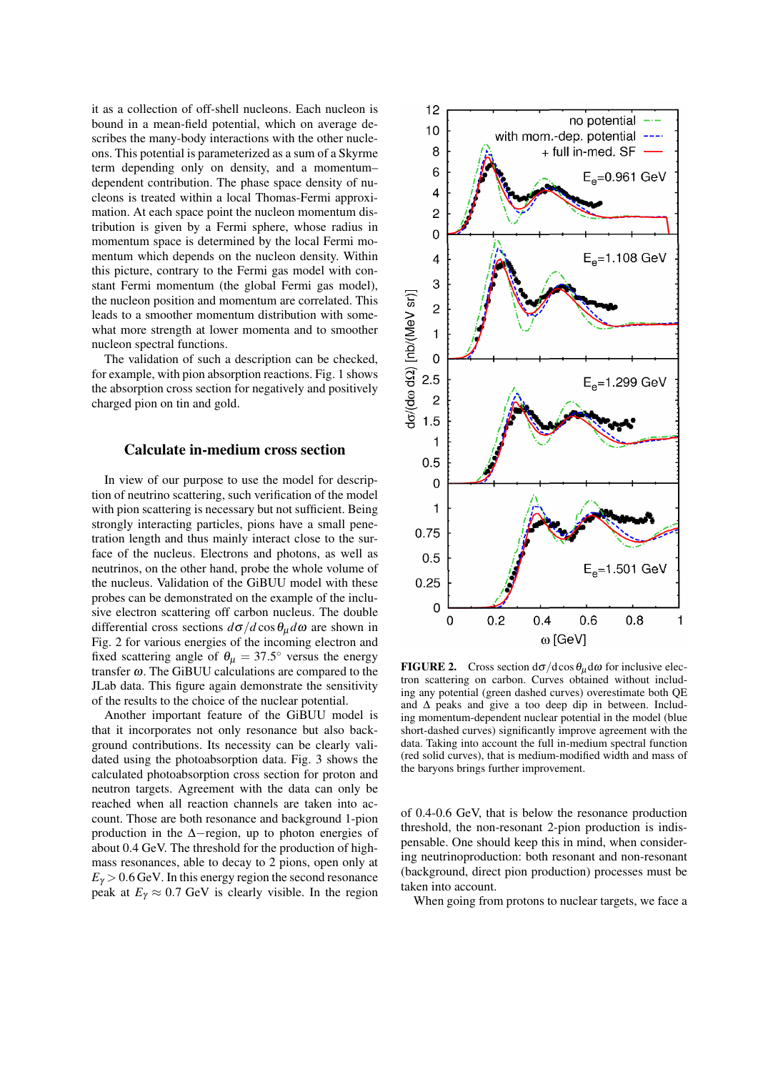it as a collection of off-shell nucleons. Each nucleon is bound in a mean-field potential, which on average describes the many-body interactions with the other nucleons. This potential is parameterized as a sum of a Skyrme term depending only on density, and a momentum– dependent contribution. The phase space density of nucleons is treated within a local Thomas-Fermi approximation. At each space point the nucleon momentum distribution is given by a Fermi sphere, whose radius in momentum space is determined by the local Fermi momentum which depends on the nucleon density. Within this picture, contrary to the Fermi gas model with constant Fermi momentum (the global Fermi gas model), the nucleon position and momentum are correlated. This leads to a smoother momentum distribution with somewhat more strength at lower momenta and to smoother nucleon spectral functions.

The validation of such a description can be checked, for example, with pion absorption reactions. Fig. 1 shows the absorption cross section for negatively and positively charged pion on tin and gold.

#### Calculate in-medium cross section

In view of our purpose to use the model for description of neutrino scattering, such verification of the model with pion scattering is necessary but not sufficient. Being strongly interacting particles, pions have a small penetration length and thus mainly interact close to the surface of the nucleus. Electrons and photons, as well as neutrinos, on the other hand, probe the whole volume of the nucleus. Validation of the GiBUU model with these probes can be demonstrated on the example of the inclusive electron scattering off carbon nucleus. The double differential cross sections  $d\sigma/d\cos\theta_u d\omega$  are shown in Fig. 2 for various energies of the incoming electron and fixed scattering angle of  $\theta_{\mu} = 37.5^{\circ}$  versus the energy transfer  $\omega$ . The GiBUU calculations are compared to the JLab data. This figure again demonstrate the sensitivity of the results to the choice of the nuclear potential.

Another important feature of the GiBUU model is that it incorporates not only resonance but also background contributions. Its necessity can be clearly validated using the photoabsorption data. Fig. 3 shows the calculated photoabsorption cross section for proton and neutron targets. Agreement with the data can only be reached when all reaction channels are taken into account. Those are both resonance and background 1-pion production in the ∆−region, up to photon energies of about 0.4 GeV. The threshold for the production of highmass resonances, able to decay to 2 pions, open only at  $E<sub>\gamma</sub> > 0.6$  GeV. In this energy region the second resonance peak at  $E_{\gamma} \approx 0.7$  GeV is clearly visible. In the region



**FIGURE 2.** Cross section  $d\sigma/d\cos\theta_\mu d\omega$  for inclusive electron scattering on carbon. Curves obtained without including any potential (green dashed curves) overestimate both QE and ∆ peaks and give a too deep dip in between. Including momentum-dependent nuclear potential in the model (blue short-dashed curves) significantly improve agreement with the data. Taking into account the full in-medium spectral function (red solid curves), that is medium-modified width and mass of the baryons brings further improvement.

of 0.4-0.6 GeV, that is below the resonance production threshold, the non-resonant 2-pion production is indispensable. One should keep this in mind, when considering neutrinoproduction: both resonant and non-resonant (background, direct pion production) processes must be taken into account.

When going from protons to nuclear targets, we face a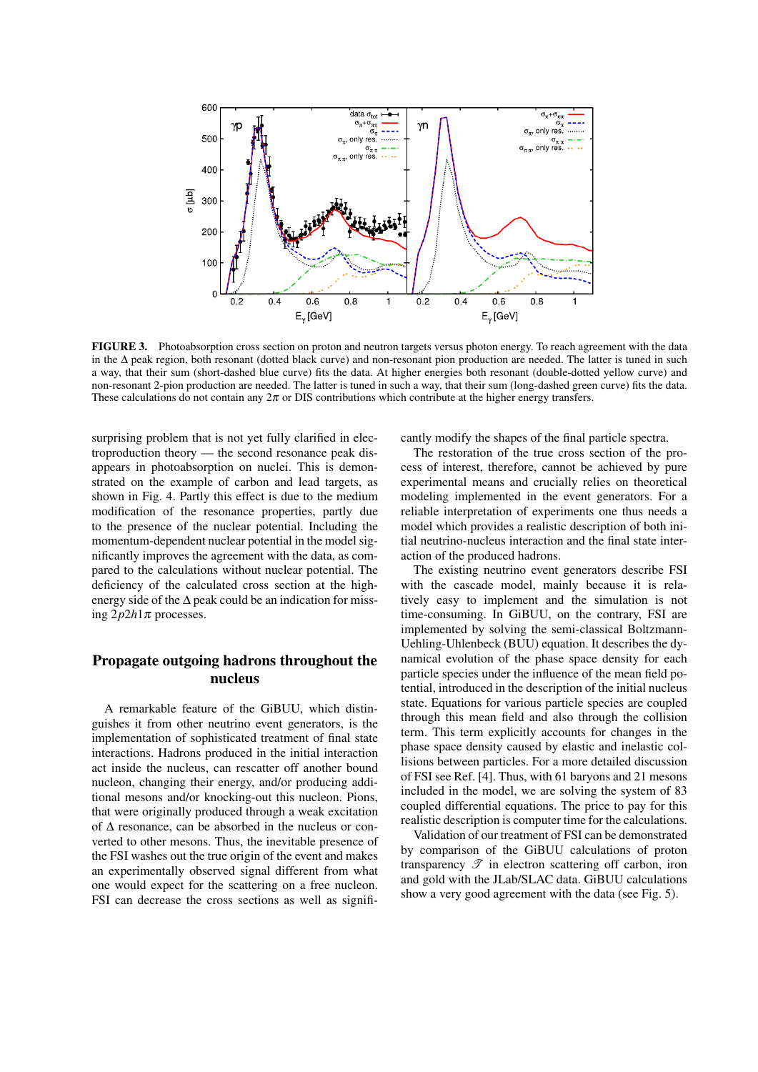

FIGURE 3. Photoabsorption cross section on proton and neutron targets versus photon energy. To reach agreement with the data in the ∆ peak region, both resonant (dotted black curve) and non-resonant pion production are needed. The latter is tuned in such a way, that their sum (short-dashed blue curve) fits the data. At higher energies both resonant (double-dotted yellow curve) and non-resonant 2-pion production are needed. The latter is tuned in such a way, that their sum (long-dashed green curve) fits the data. These calculations do not contain any  $2\pi$  or DIS contributions which contribute at the higher energy transfers.

surprising problem that is not yet fully clarified in electroproduction theory — the second resonance peak disappears in photoabsorption on nuclei. This is demonstrated on the example of carbon and lead targets, as shown in Fig. 4. Partly this effect is due to the medium modification of the resonance properties, partly due to the presence of the nuclear potential. Including the momentum-dependent nuclear potential in the model significantly improves the agreement with the data, as compared to the calculations without nuclear potential. The deficiency of the calculated cross section at the highenergy side of the  $\Delta$  peak could be an indication for missing  $2p2h1\pi$  processes.

# Propagate outgoing hadrons throughout the nucleus

A remarkable feature of the GiBUU, which distinguishes it from other neutrino event generators, is the implementation of sophisticated treatment of final state interactions. Hadrons produced in the initial interaction act inside the nucleus, can rescatter off another bound nucleon, changing their energy, and/or producing additional mesons and/or knocking-out this nucleon. Pions, that were originally produced through a weak excitation of ∆ resonance, can be absorbed in the nucleus or converted to other mesons. Thus, the inevitable presence of the FSI washes out the true origin of the event and makes an experimentally observed signal different from what one would expect for the scattering on a free nucleon. FSI can decrease the cross sections as well as significantly modify the shapes of the final particle spectra.

The restoration of the true cross section of the process of interest, therefore, cannot be achieved by pure experimental means and crucially relies on theoretical modeling implemented in the event generators. For a reliable interpretation of experiments one thus needs a model which provides a realistic description of both initial neutrino-nucleus interaction and the final state interaction of the produced hadrons.

The existing neutrino event generators describe FSI with the cascade model, mainly because it is relatively easy to implement and the simulation is not time-consuming. In GiBUU, on the contrary, FSI are implemented by solving the semi-classical Boltzmann-Uehling-Uhlenbeck (BUU) equation. It describes the dynamical evolution of the phase space density for each particle species under the influence of the mean field potential, introduced in the description of the initial nucleus state. Equations for various particle species are coupled through this mean field and also through the collision term. This term explicitly accounts for changes in the phase space density caused by elastic and inelastic collisions between particles. For a more detailed discussion of FSI see Ref. [4]. Thus, with 61 baryons and 21 mesons included in the model, we are solving the system of 83 coupled differential equations. The price to pay for this realistic description is computer time for the calculations.

Validation of our treatment of FSI can be demonstrated by comparison of the GiBUU calculations of proton transparency  $\mathscr T$  in electron scattering off carbon, iron and gold with the JLab/SLAC data. GiBUU calculations show a very good agreement with the data (see Fig. 5).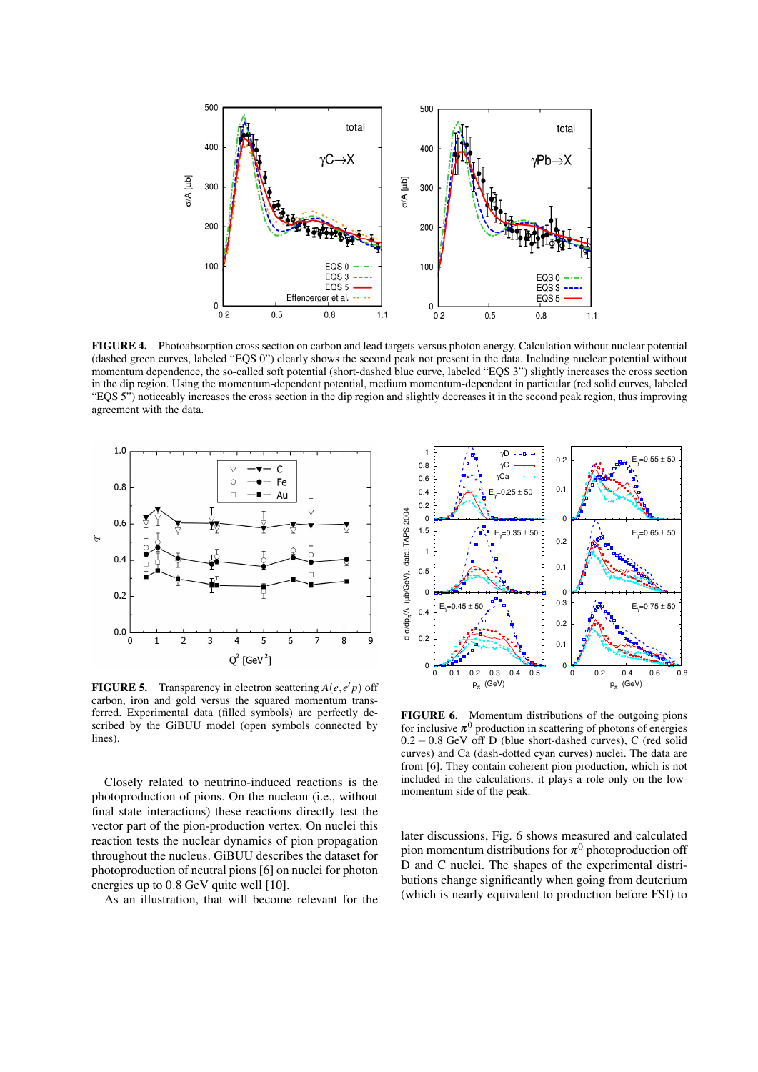

FIGURE 4. Photoabsorption cross section on carbon and lead targets versus photon energy. Calculation without nuclear potential (dashed green curves, labeled "EQS 0") clearly shows the second peak not present in the data. Including nuclear potential without momentum dependence, the so-called soft potential (short-dashed blue curve, labeled "EQS 3") slightly increases the cross section in the dip region. Using the momentum-dependent potential, medium momentum-dependent in particular (red solid curves, labeled "EQS 5") noticeably increases the cross section in the dip region and slightly decreases it in the second peak region, thus improving agreement with the data.



**FIGURE 5.** Transparency in electron scattering  $A(e, e'p)$  off carbon, iron and gold versus the squared momentum transferred. Experimental data (filled symbols) are perfectly described by the GiBUU model (open symbols connected by lines).

Closely related to neutrino-induced reactions is the photoproduction of pions. On the nucleon (i.e., without final state interactions) these reactions directly test the vector part of the pion-production vertex. On nuclei this reaction tests the nuclear dynamics of pion propagation throughout the nucleus. GiBUU describes the dataset for photoproduction of neutral pions [6] on nuclei for photon energies up to 0.8 GeV quite well [10].

As an illustration, that will become relevant for the



FIGURE 6. Momentum distributions of the outgoing pions for inclusive  $\pi^0$  production in scattering of photons of energies 0.2 − 0.8 GeV off D (blue short-dashed curves), C (red solid curves) and Ca (dash-dotted cyan curves) nuclei. The data are from [6]. They contain coherent pion production, which is not included in the calculations; it plays a role only on the lowmomentum side of the peak.

later discussions, Fig. 6 shows measured and calculated pion momentum distributions for  $\pi^0$  photoproduction off D and C nuclei. The shapes of the experimental distributions change significantly when going from deuterium (which is nearly equivalent to production before FSI) to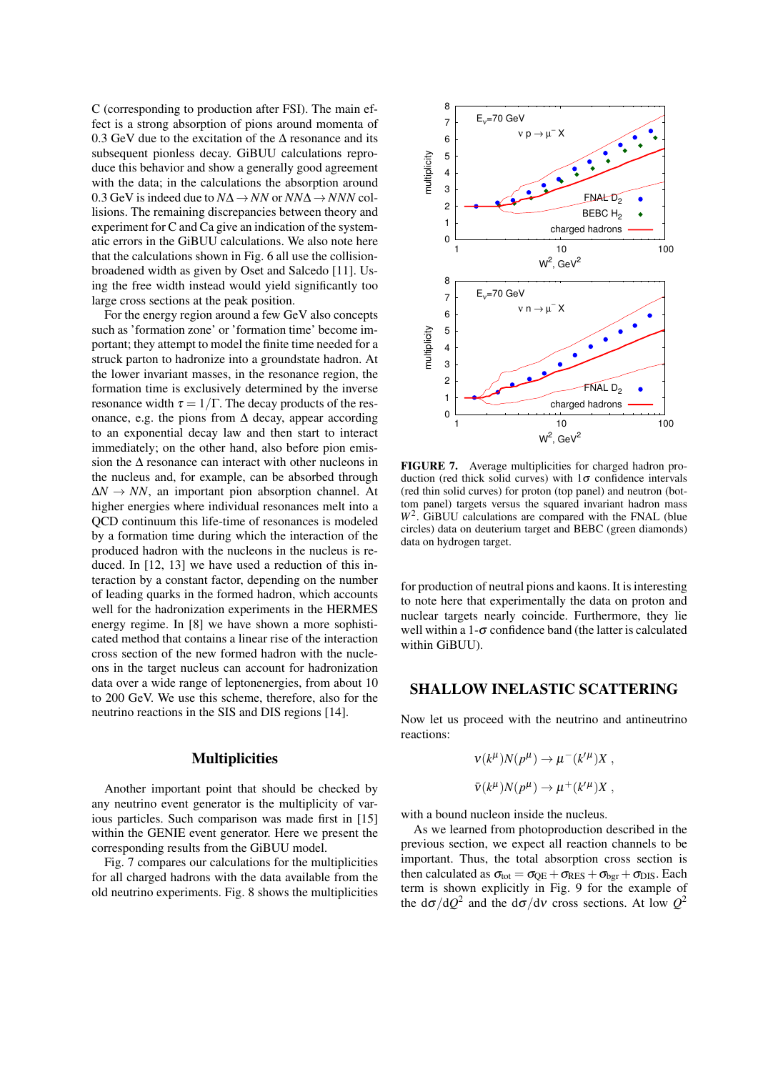C (corresponding to production after FSI). The main effect is a strong absorption of pions around momenta of 0.3 GeV due to the excitation of the  $\Delta$  resonance and its subsequent pionless decay. GiBUU calculations reproduce this behavior and show a generally good agreement with the data; in the calculations the absorption around 0.3 GeV is indeed due to *N*∆ → *NN* or *NN*∆ → *NNN* collisions. The remaining discrepancies between theory and experiment for C and Ca give an indication of the systematic errors in the GiBUU calculations. We also note here that the calculations shown in Fig. 6 all use the collisionbroadened width as given by Oset and Salcedo [11]. Using the free width instead would yield significantly too large cross sections at the peak position.

For the energy region around a few GeV also concepts such as 'formation zone' or 'formation time' become important; they attempt to model the finite time needed for a struck parton to hadronize into a groundstate hadron. At the lower invariant masses, in the resonance region, the formation time is exclusively determined by the inverse resonance width  $\tau = 1/\Gamma$ . The decay products of the resonance, e.g. the pions from  $\Delta$  decay, appear according to an exponential decay law and then start to interact immediately; on the other hand, also before pion emission the ∆ resonance can interact with other nucleons in the nucleus and, for example, can be absorbed through ∆*N* → *NN*, an important pion absorption channel. At higher energies where individual resonances melt into a QCD continuum this life-time of resonances is modeled by a formation time during which the interaction of the produced hadron with the nucleons in the nucleus is reduced. In [12, 13] we have used a reduction of this interaction by a constant factor, depending on the number of leading quarks in the formed hadron, which accounts well for the hadronization experiments in the HERMES energy regime. In [8] we have shown a more sophisticated method that contains a linear rise of the interaction cross section of the new formed hadron with the nucleons in the target nucleus can account for hadronization data over a wide range of leptonenergies, from about 10 to 200 GeV. We use this scheme, therefore, also for the neutrino reactions in the SIS and DIS regions [14].

#### **Multiplicities**

Another important point that should be checked by any neutrino event generator is the multiplicity of various particles. Such comparison was made first in [15] within the GENIE event generator. Here we present the corresponding results from the GiBUU model.

Fig. 7 compares our calculations for the multiplicities for all charged hadrons with the data available from the old neutrino experiments. Fig. 8 shows the multiplicities



FIGURE 7. Average multiplicities for charged hadron production (red thick solid curves) with  $1\sigma$  confidence intervals (red thin solid curves) for proton (top panel) and neutron (bottom panel) targets versus the squared invariant hadron mass *W*<sup>2</sup> . GiBUU calculations are compared with the FNAL (blue circles) data on deuterium target and BEBC (green diamonds) data on hydrogen target.

for production of neutral pions and kaons. It is interesting to note here that experimentally the data on proton and nuclear targets nearly coincide. Furthermore, they lie well within a  $1-\sigma$  confidence band (the latter is calculated within GiBUU).

### SHALLOW INELASTIC SCATTERING

Now let us proceed with the neutrino and antineutrino reactions:

$$
\nu(k^{\mu})N(p^{\mu}) \to \mu^-(k'^{\mu})X ,
$$
  

$$
\bar{\nu}(k^{\mu})N(p^{\mu}) \to \mu^+(k'^{\mu})X ,
$$

with a bound nucleon inside the nucleus.

As we learned from photoproduction described in the previous section, we expect all reaction channels to be important. Thus, the total absorption cross section is then calculated as  $\sigma_{\text{tot}} = \sigma_{\text{OE}} + \sigma_{\text{RES}} + \sigma_{\text{bgr}} + \sigma_{\text{DIS}}$ . Each term is shown explicitly in Fig. 9 for the example of the  $d\sigma/dQ^2$  and the  $d\sigma/d\nu$  cross sections. At low  $Q^2$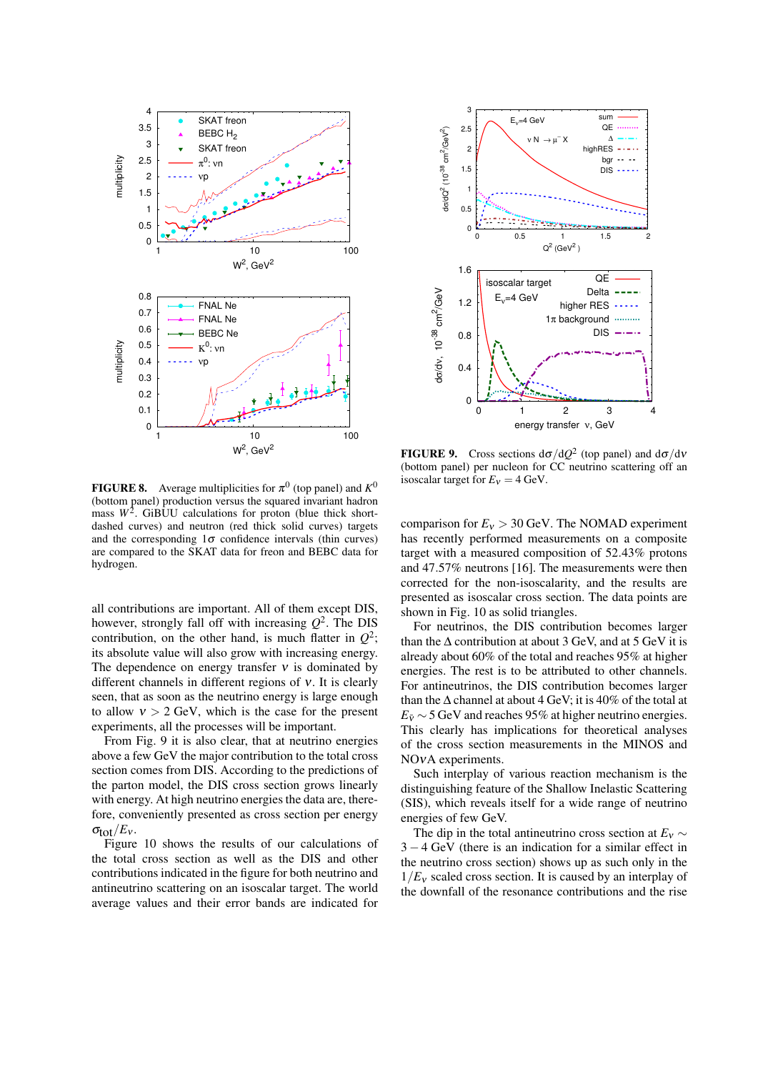



**FIGURE 8.** Average multiplicities for  $\pi^0$  (top panel) and  $K^0$ (bottom panel) production versus the squared invariant hadron mass  $W^2$ . GiBUU calculations for proton (blue thick shortdashed curves) and neutron (red thick solid curves) targets and the corresponding  $1\sigma$  confidence intervals (thin curves) are compared to the SKAT data for freon and BEBC data for hydrogen.

all contributions are important. All of them except DIS, however, strongly fall off with increasing *Q* 2 . The DIS contribution, on the other hand, is much flatter in  $Q^2$ ; its absolute value will also grow with increasing energy. The dependence on energy transfer  $v$  is dominated by different channels in different regions of ν. It is clearly seen, that as soon as the neutrino energy is large enough to allow  $v > 2$  GeV, which is the case for the present experiments, all the processes will be important.

From Fig. 9 it is also clear, that at neutrino energies above a few GeV the major contribution to the total cross section comes from DIS. According to the predictions of the parton model, the DIS cross section grows linearly with energy. At high neutrino energies the data are, therefore, conveniently presented as cross section per energy  $\sigma_{\text{tot}}/E_v$ .

Figure 10 shows the results of our calculations of the total cross section as well as the DIS and other contributions indicated in the figure for both neutrino and antineutrino scattering on an isoscalar target. The world average values and their error bands are indicated for

**FIGURE 9.** Cross sections  $d\sigma/dQ^2$  (top panel) and  $d\sigma/dv$ (bottom panel) per nucleon for CC neutrino scattering off an isoscalar target for  $E_v = 4$  GeV.

comparison for  $E_v > 30$  GeV. The NOMAD experiment has recently performed measurements on a composite target with a measured composition of 52.43% protons and 47.57% neutrons [16]. The measurements were then corrected for the non-isoscalarity, and the results are presented as isoscalar cross section. The data points are shown in Fig. 10 as solid triangles.

For neutrinos, the DIS contribution becomes larger than the  $\Delta$  contribution at about 3 GeV, and at 5 GeV it is already about 60% of the total and reaches 95% at higher energies. The rest is to be attributed to other channels. For antineutrinos, the DIS contribution becomes larger than the  $\Delta$  channel at about 4 GeV; it is 40% of the total at  $E_{\bar{v}} \sim 5$  GeV and reaches 95% at higher neutrino energies. This clearly has implications for theoretical analyses of the cross section measurements in the MINOS and NOνA experiments.

Such interplay of various reaction mechanism is the distinguishing feature of the Shallow Inelastic Scattering (SIS), which reveals itself for a wide range of neutrino energies of few GeV.

The dip in the total antineutrino cross section at  $E_v \sim$ 3 − 4 GeV (there is an indication for a similar effect in the neutrino cross section) shows up as such only in the  $1/E<sub>v</sub>$  scaled cross section. It is caused by an interplay of the downfall of the resonance contributions and the rise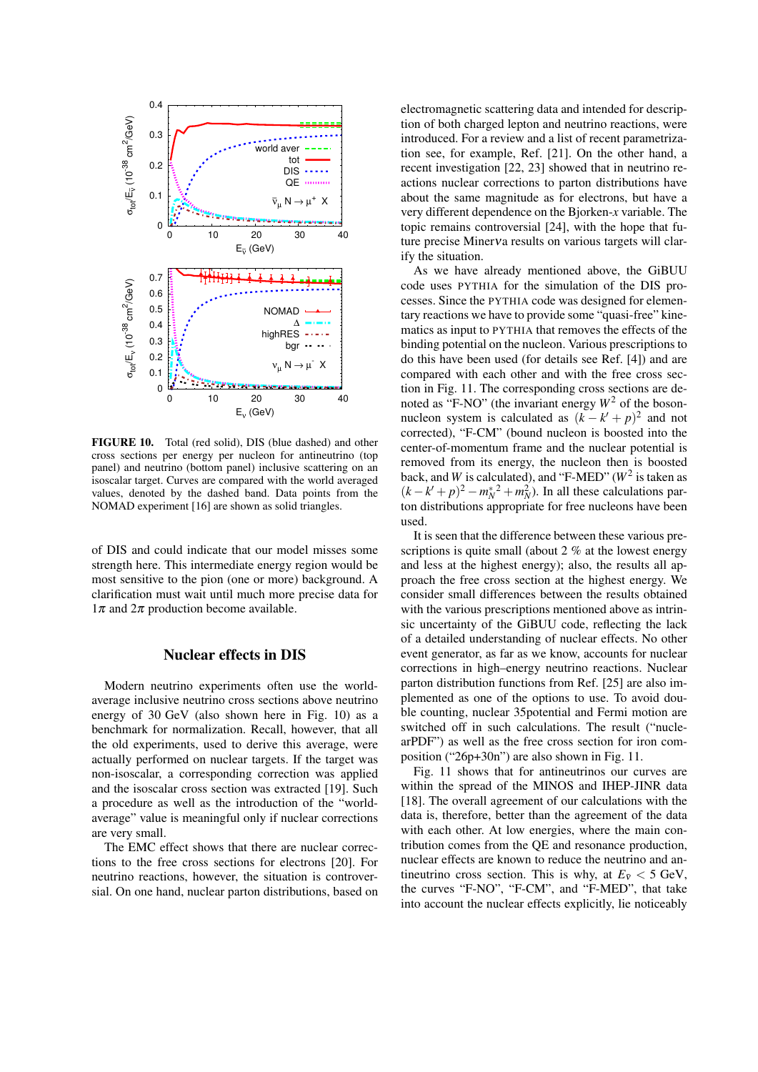

FIGURE 10. Total (red solid), DIS (blue dashed) and other cross sections per energy per nucleon for antineutrino (top panel) and neutrino (bottom panel) inclusive scattering on an isoscalar target. Curves are compared with the world averaged values, denoted by the dashed band. Data points from the NOMAD experiment [16] are shown as solid triangles.

of DIS and could indicate that our model misses some strength here. This intermediate energy region would be most sensitive to the pion (one or more) background. A clarification must wait until much more precise data for  $1\pi$  and  $2\pi$  production become available.

#### Nuclear effects in DIS

Modern neutrino experiments often use the worldaverage inclusive neutrino cross sections above neutrino energy of 30 GeV (also shown here in Fig. 10) as a benchmark for normalization. Recall, however, that all the old experiments, used to derive this average, were actually performed on nuclear targets. If the target was non-isoscalar, a corresponding correction was applied and the isoscalar cross section was extracted [19]. Such a procedure as well as the introduction of the "worldaverage" value is meaningful only if nuclear corrections are very small.

The EMC effect shows that there are nuclear corrections to the free cross sections for electrons [20]. For neutrino reactions, however, the situation is controversial. On one hand, nuclear parton distributions, based on electromagnetic scattering data and intended for description of both charged lepton and neutrino reactions, were introduced. For a review and a list of recent parametrization see, for example, Ref. [21]. On the other hand, a recent investigation [22, 23] showed that in neutrino reactions nuclear corrections to parton distributions have about the same magnitude as for electrons, but have a very different dependence on the Bjorken-*x* variable. The topic remains controversial [24], with the hope that future precise Minerνa results on various targets will clarify the situation.

As we have already mentioned above, the GiBUU code uses PYTHIA for the simulation of the DIS processes. Since the PYTHIA code was designed for elementary reactions we have to provide some "quasi-free" kinematics as input to PYTHIA that removes the effects of the binding potential on the nucleon. Various prescriptions to do this have been used (for details see Ref. [4]) and are compared with each other and with the free cross section in Fig. 11. The corresponding cross sections are denoted as "F-NO" (the invariant energy  $W^2$  of the bosonnucleon system is calculated as  $(k - k' + p)^2$  and not corrected), "F-CM" (bound nucleon is boosted into the center-of-momentum frame and the nuclear potential is removed from its energy, the nucleon then is boosted back, and *W* is calculated), and "F-MED" ( $W^2$  is taken as  $(k - k' + p)^2 - m_N^*^2 + m_N^2$ . In all these calculations parton distributions appropriate for free nucleons have been used.

It is seen that the difference between these various prescriptions is quite small (about 2 % at the lowest energy and less at the highest energy); also, the results all approach the free cross section at the highest energy. We consider small differences between the results obtained with the various prescriptions mentioned above as intrinsic uncertainty of the GiBUU code, reflecting the lack of a detailed understanding of nuclear effects. No other event generator, as far as we know, accounts for nuclear corrections in high–energy neutrino reactions. Nuclear parton distribution functions from Ref. [25] are also implemented as one of the options to use. To avoid double counting, nuclear 35potential and Fermi motion are switched off in such calculations. The result ("nuclearPDF") as well as the free cross section for iron composition ("26p+30n") are also shown in Fig. 11.

Fig. 11 shows that for antineutrinos our curves are within the spread of the MINOS and IHEP-JINR data [18]. The overall agreement of our calculations with the data is, therefore, better than the agreement of the data with each other. At low energies, where the main contribution comes from the QE and resonance production, nuclear effects are known to reduce the neutrino and antineutrino cross section. This is why, at  $E_{\bar{v}} < 5$  GeV, the curves "F-NO", "F-CM", and "F-MED", that take into account the nuclear effects explicitly, lie noticeably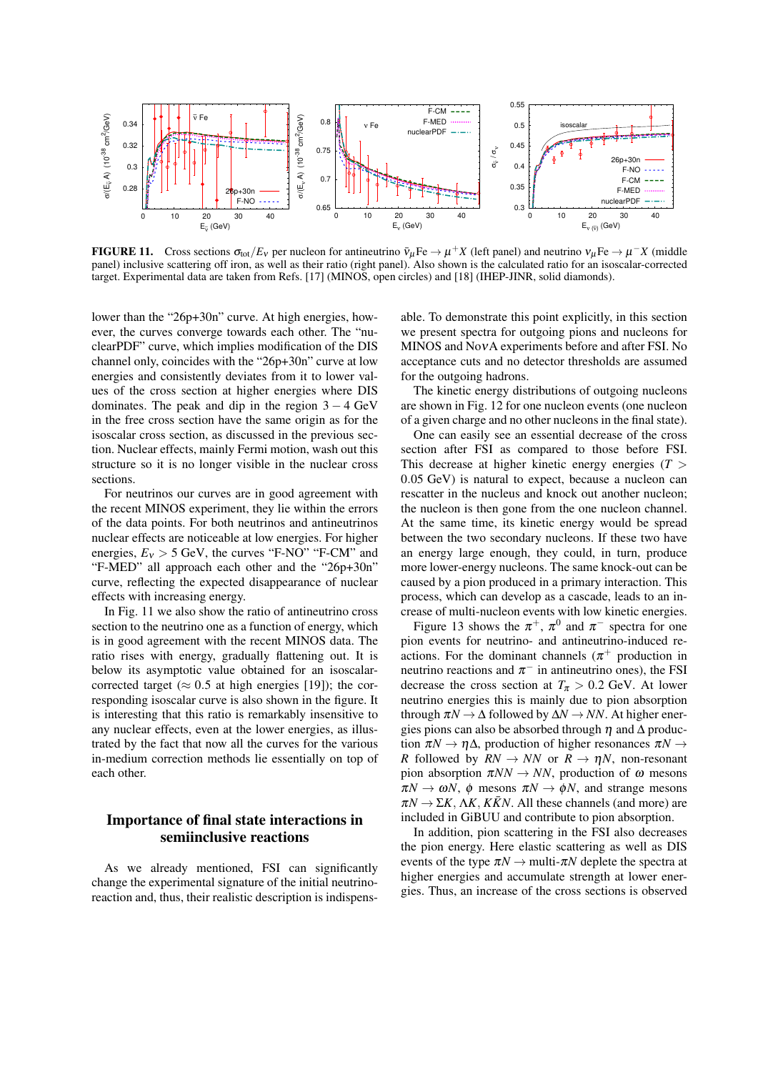

**FIGURE 11.** Cross sections  $\sigma_{\text{tot}}/E_v$  per nucleon for antineutrino  $\bar{v}_{\mu}$ Fe  $\rightarrow \mu^{+}X$  (left panel) and neutrino  $v_{\mu}$ Fe  $\rightarrow \mu^{-}X$  (middle panel) inclusive scattering off iron, as well as their ratio (right panel). Also shown is the calculated ratio for an isoscalar-corrected target. Experimental data are taken from Refs. [17] (MINOS, open circles) and [18] (IHEP-JINR, solid diamonds).

lower than the "26p+30n" curve. At high energies, however, the curves converge towards each other. The "nuclearPDF" curve, which implies modification of the DIS channel only, coincides with the "26p+30n" curve at low energies and consistently deviates from it to lower values of the cross section at higher energies where DIS dominates. The peak and dip in the region  $3 - 4$  GeV in the free cross section have the same origin as for the isoscalar cross section, as discussed in the previous section. Nuclear effects, mainly Fermi motion, wash out this structure so it is no longer visible in the nuclear cross sections.

For neutrinos our curves are in good agreement with the recent MINOS experiment, they lie within the errors of the data points. For both neutrinos and antineutrinos nuclear effects are noticeable at low energies. For higher energies,  $E_v > 5$  GeV, the curves "F-NO" "F-CM" and "F-MED" all approach each other and the "26p+30n" curve, reflecting the expected disappearance of nuclear effects with increasing energy.

In Fig. 11 we also show the ratio of antineutrino cross section to the neutrino one as a function of energy, which is in good agreement with the recent MINOS data. The ratio rises with energy, gradually flattening out. It is below its asymptotic value obtained for an isoscalarcorrected target ( $\approx 0.5$  at high energies [19]); the corresponding isoscalar curve is also shown in the figure. It is interesting that this ratio is remarkably insensitive to any nuclear effects, even at the lower energies, as illustrated by the fact that now all the curves for the various in-medium correction methods lie essentially on top of each other.

# Importance of final state interactions in semiinclusive reactions

As we already mentioned, FSI can significantly change the experimental signature of the initial neutrinoreaction and, thus, their realistic description is indispensable. To demonstrate this point explicitly, in this section we present spectra for outgoing pions and nucleons for MINOS and NoνA experiments before and after FSI. No acceptance cuts and no detector thresholds are assumed for the outgoing hadrons.

The kinetic energy distributions of outgoing nucleons are shown in Fig. 12 for one nucleon events (one nucleon of a given charge and no other nucleons in the final state).

One can easily see an essential decrease of the cross section after FSI as compared to those before FSI. This decrease at higher kinetic energy energies  $(T >$ 0.05 GeV) is natural to expect, because a nucleon can rescatter in the nucleus and knock out another nucleon; the nucleon is then gone from the one nucleon channel. At the same time, its kinetic energy would be spread between the two secondary nucleons. If these two have an energy large enough, they could, in turn, produce more lower-energy nucleons. The same knock-out can be caused by a pion produced in a primary interaction. This process, which can develop as a cascade, leads to an increase of multi-nucleon events with low kinetic energies.

Figure 13 shows the  $\pi^+$ ,  $\pi^0$  and  $\pi^-$  spectra for one pion events for neutrino- and antineutrino-induced reactions. For the dominant channels  $(\pi^+$  production in neutrino reactions and  $\pi^-$  in antineutrino ones), the FSI decrease the cross section at  $T_\pi > 0.2$  GeV. At lower neutrino energies this is mainly due to pion absorption through  $\pi N \to \Delta$  followed by  $\Delta N \to NN$ . At higher energies pions can also be absorbed through  $\eta$  and  $\Delta$  production  $\pi N \to \eta \Delta$ , production of higher resonances  $\pi N \to$ *R* followed by  $RN \to NN$  or  $R \to \eta N$ , non-resonant pion absorption  $\pi NN \rightarrow NN$ , production of  $\omega$  mesons  $\pi N \to \omega N$ ,  $\phi$  mesons  $\pi N \to \phi N$ , and strange mesons  $\pi N \to \Sigma K$ ,  $\Lambda K$ ,  $K\overline{K}N$ . All these channels (and more) are included in GiBUU and contribute to pion absorption.

In addition, pion scattering in the FSI also decreases the pion energy. Here elastic scattering as well as DIS events of the type  $\pi N \rightarrow$  multi- $\pi N$  deplete the spectra at higher energies and accumulate strength at lower energies. Thus, an increase of the cross sections is observed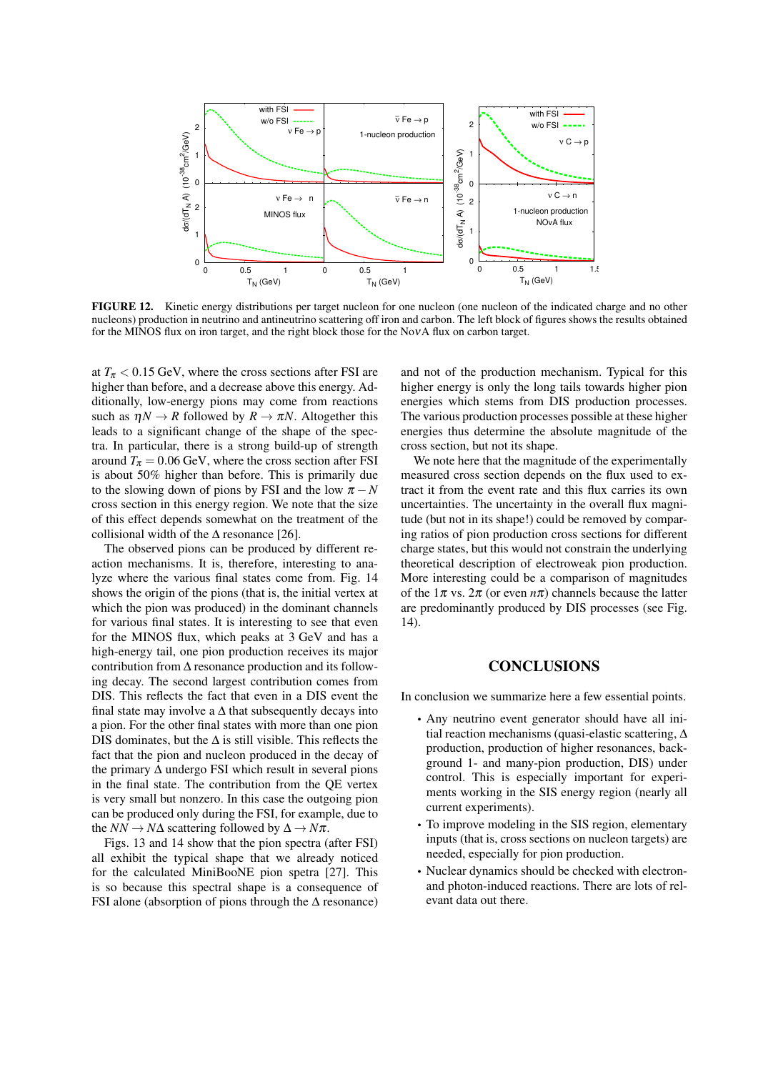

FIGURE 12. Kinetic energy distributions per target nucleon for one nucleon (one nucleon of the indicated charge and no other nucleons) production in neutrino and antineutrino scattering off iron and carbon. The left block of figures shows the results obtained for the MINOS flux on iron target, and the right block those for the NoνA flux on carbon target.

at  $T_{\pi}$  < 0.15 GeV, where the cross sections after FSI are higher than before, and a decrease above this energy. Additionally, low-energy pions may come from reactions such as  $\eta N \to R$  followed by  $R \to \pi N$ . Altogether this leads to a significant change of the shape of the spectra. In particular, there is a strong build-up of strength around  $T_{\pi} = 0.06$  GeV, where the cross section after FSI is about 50% higher than before. This is primarily due to the slowing down of pions by FSI and the low  $\pi - N$ cross section in this energy region. We note that the size of this effect depends somewhat on the treatment of the collisional width of the  $\Delta$  resonance [26].

The observed pions can be produced by different reaction mechanisms. It is, therefore, interesting to analyze where the various final states come from. Fig. 14 shows the origin of the pions (that is, the initial vertex at which the pion was produced) in the dominant channels for various final states. It is interesting to see that even for the MINOS flux, which peaks at 3 GeV and has a high-energy tail, one pion production receives its major contribution from ∆ resonance production and its following decay. The second largest contribution comes from DIS. This reflects the fact that even in a DIS event the final state may involve a  $\Delta$  that subsequently decays into a pion. For the other final states with more than one pion DIS dominates, but the  $\Delta$  is still visible. This reflects the fact that the pion and nucleon produced in the decay of the primary ∆ undergo FSI which result in several pions in the final state. The contribution from the QE vertex is very small but nonzero. In this case the outgoing pion can be produced only during the FSI, for example, due to the  $NN \rightarrow N\Delta$  scattering followed by  $\Delta \rightarrow N\pi$ .

Figs. 13 and 14 show that the pion spectra (after FSI) all exhibit the typical shape that we already noticed for the calculated MiniBooNE pion spetra [27]. This is so because this spectral shape is a consequence of FSI alone (absorption of pions through the  $\Delta$  resonance)

and not of the production mechanism. Typical for this higher energy is only the long tails towards higher pion energies which stems from DIS production processes. The various production processes possible at these higher energies thus determine the absolute magnitude of the cross section, but not its shape.

We note here that the magnitude of the experimentally measured cross section depends on the flux used to extract it from the event rate and this flux carries its own uncertainties. The uncertainty in the overall flux magnitude (but not in its shape!) could be removed by comparing ratios of pion production cross sections for different charge states, but this would not constrain the underlying theoretical description of electroweak pion production. More interesting could be a comparison of magnitudes of the  $1\pi$  vs.  $2\pi$  (or even  $n\pi$ ) channels because the latter are predominantly produced by DIS processes (see Fig. 14).

# **CONCLUSIONS**

In conclusion we summarize here a few essential points.

- Any neutrino event generator should have all initial reaction mechanisms (quasi-elastic scattering, ∆ production, production of higher resonances, background 1- and many-pion production, DIS) under control. This is especially important for experiments working in the SIS energy region (nearly all current experiments).
- To improve modeling in the SIS region, elementary inputs (that is, cross sections on nucleon targets) are needed, especially for pion production.
- Nuclear dynamics should be checked with electronand photon-induced reactions. There are lots of relevant data out there.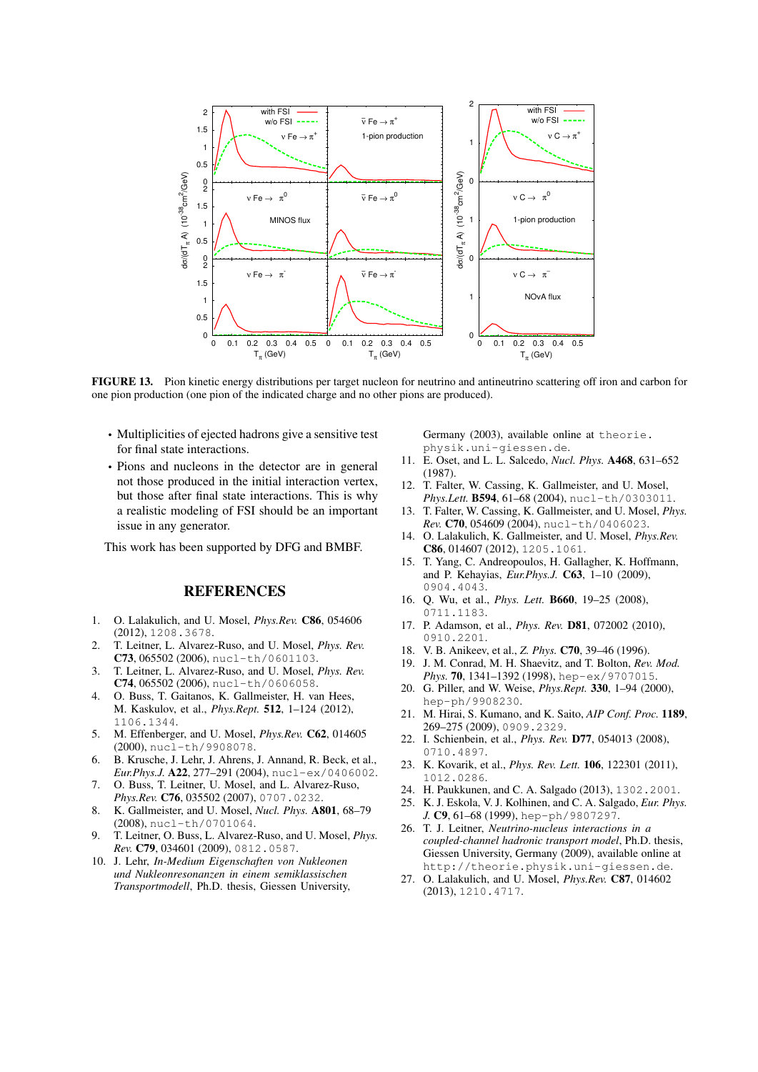

FIGURE 13. Pion kinetic energy distributions per target nucleon for neutrino and antineutrino scattering off iron and carbon for one pion production (one pion of the indicated charge and no other pions are produced).

- Multiplicities of ejected hadrons give a sensitive test for final state interactions.
- Pions and nucleons in the detector are in general not those produced in the initial interaction vertex, but those after final state interactions. This is why a realistic modeling of FSI should be an important issue in any generator.

This work has been supported by DFG and BMBF.

# **REFERENCES**

- 1. O. Lalakulich, and U. Mosel, *Phys.Rev.* C86, 054606 (2012), 1208.3678.
- 2. T. Leitner, L. Alvarez-Ruso, and U. Mosel, *Phys. Rev.* C73, 065502 (2006), nucl-th/0601103.
- 3. T. Leitner, L. Alvarez-Ruso, and U. Mosel, *Phys. Rev.* C74, 065502 (2006), nucl-th/0606058.
- 4. O. Buss, T. Gaitanos, K. Gallmeister, H. van Hees, M. Kaskulov, et al., *Phys.Rept.* 512, 1–124 (2012), 1106.1344.
- 5. M. Effenberger, and U. Mosel, *Phys.Rev.* C62, 014605 (2000), nucl-th/9908078.
- 6. B. Krusche, J. Lehr, J. Ahrens, J. Annand, R. Beck, et al., *Eur.Phys.J.* A22, 277–291 (2004), nucl-ex/0406002.
- 7. O. Buss, T. Leitner, U. Mosel, and L. Alvarez-Ruso, *Phys.Rev.* C76, 035502 (2007), 0707.0232.
- 8. K. Gallmeister, and U. Mosel, *Nucl. Phys.* A801, 68–79 (2008), nucl-th/0701064.
- 9. T. Leitner, O. Buss, L. Alvarez-Ruso, and U. Mosel, *Phys. Rev.* C79, 034601 (2009), 0812.0587.
- 10. J. Lehr, *In-Medium Eigenschaften von Nukleonen und Nukleonresonanzen in einem semiklassischen Transportmodell*, Ph.D. thesis, Giessen University,

Germany (2003), available online at theorie. physik.uni-giessen.de.

- 11. E. Oset, and L. L. Salcedo, *Nucl. Phys.* A468, 631–652 (1987).
- 12. T. Falter, W. Cassing, K. Gallmeister, and U. Mosel, *Phys.Lett.* B594, 61–68 (2004), nucl-th/0303011.
- 13. T. Falter, W. Cassing, K. Gallmeister, and U. Mosel, *Phys. Rev.* C70, 054609 (2004), nucl-th/0406023.
- 14. O. Lalakulich, K. Gallmeister, and U. Mosel, *Phys.Rev.* C86, 014607 (2012), 1205.1061.
- 15. T. Yang, C. Andreopoulos, H. Gallagher, K. Hoffmann, and P. Kehayias, *Eur.Phys.J.* C63, 1–10 (2009), 0904.4043.
- 16. Q. Wu, et al., *Phys. Lett.* B660, 19–25 (2008), 0711.1183.
- 17. P. Adamson, et al., *Phys. Rev.* D81, 072002 (2010), 0910.2201.
- 18. V. B. Anikeev, et al., *Z. Phys.* C70, 39–46 (1996).
- 19. J. M. Conrad, M. H. Shaevitz, and T. Bolton, *Rev. Mod. Phys.* 70, 1341–1392 (1998), hep-ex/9707015.
- 20. G. Piller, and W. Weise, *Phys.Rept.* 330, 1–94 (2000), hep-ph/9908230.
- 21. M. Hirai, S. Kumano, and K. Saito, *AIP Conf. Proc.* 1189, 269–275 (2009), 0909.2329.
- 22. I. Schienbein, et al., *Phys. Rev.* D77, 054013 (2008), 0710.4897.
- 23. K. Kovarik, et al., *Phys. Rev. Lett.* 106, 122301 (2011), 1012.0286.
- 24. H. Paukkunen, and C. A. Salgado (2013), 1302.2001.
- 25. K. J. Eskola, V. J. Kolhinen, and C. A. Salgado, *Eur. Phys. J.* C9, 61–68 (1999), hep-ph/9807297.
- 26. T. J. Leitner, *Neutrino-nucleus interactions in a coupled-channel hadronic transport model*, Ph.D. thesis, Giessen University, Germany (2009), available online at http://theorie.physik.uni-giessen.de.
- 27. O. Lalakulich, and U. Mosel, *Phys.Rev.* C87, 014602 (2013), 1210.4717.